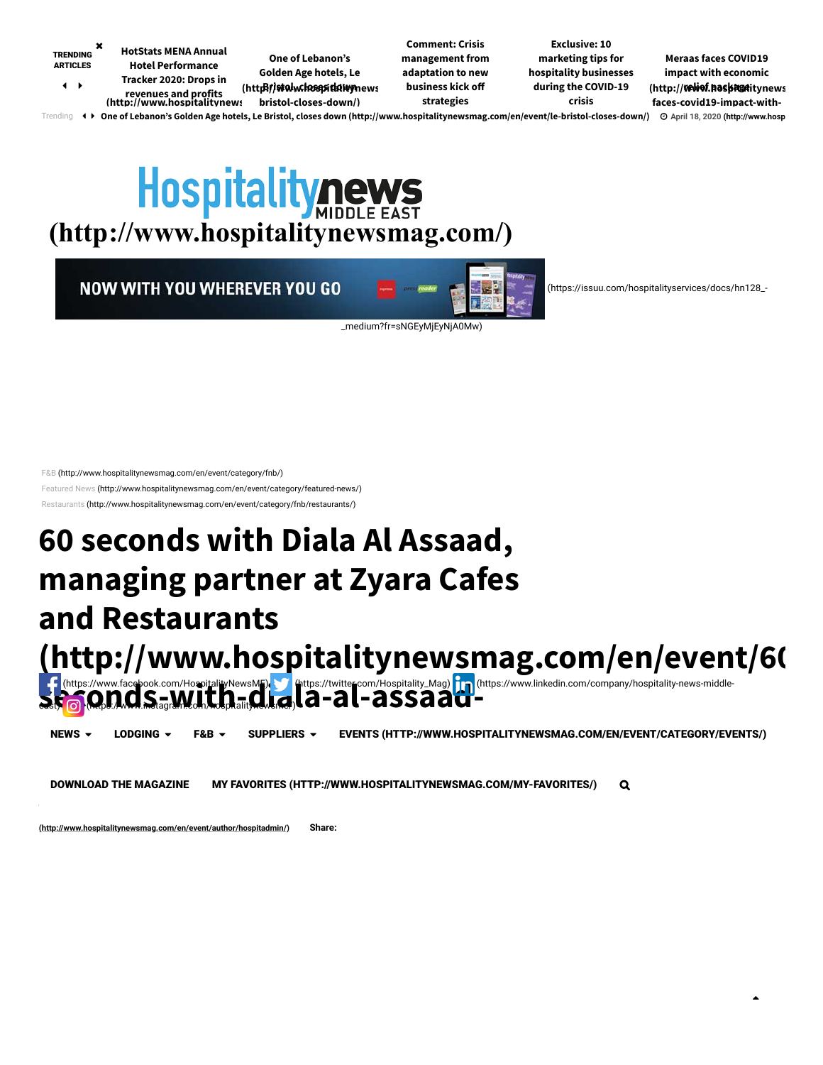<span id="page-0-1"></span>

<span id="page-0-0"></span>Trending () One of Lebanon's Golden Age hotels, Le Bristol, closes down [\(http://www.hospitalitynewsmag.com/en/event/le-bristol-closes-down/\)](http://www.hospitalitynewsmag.com/en/event/le-bristol-closes-down/) © [April 18, 2020 \(http://www.hosp](http://www.hospitalitynewsmag.com/en/event/le-bristol-closes-down/)

# **[\(http://www.hospitalitynewsmag.com/\)](http://www.hospitalitynewsmag.com/)**

**NOW WITH YOU WHEREVER YOU GO** 



 [\(https://issuu.com/hospitalityservices/docs/hn128\\_-](https://issuu.com/hospitalityservices/docs/hn128_-_medium?fr=sNGEyMjEyNjA0Mw)

 $\blacktriangle$ 

\_medium?fr=sNGEyMjEyNjA0Mw)

[F&B \(http://www.hospitalitynewsmag.com/en/event/category/fnb/\)](http://www.hospitalitynewsmag.com/en/event/category/fnb/)

[Featured News \(http://www.hospitalitynewsmag.com/en/event/category/featured-news/\)](http://www.hospitalitynewsmag.com/en/event/category/featured-news/)

[Restaurants \(http://www.hospitalitynewsmag.com/en/event/category/fnb/restaurants/\)](http://www.hospitalitynewsmag.com/en/event/category/fnb/restaurants/)

# **60 seconds with Diala Al Assaad, managing partner at Zyara Cafes and Restaurants**

**[\(http://www.hospitalitynewsmag.com/en/event/60](http://www.hospitalitynewsmag.com/en/event/60-seconds-with-diala-al-assaad-managing-partner-at-zyara-cafes-and-restaurants/) secondum** facebook.com/HospitalityNewsME) (https://twitter.com/Hospitality\_Mag) [m] (https://www.linkedin.com/company/hospitality-news-middle-<br>Second Company in Second Second Company (al-assaad-al-assaadeast) (o) (https://www.instagram.com/hospitalitynewsme/)

NEWS ► LODGING ► F&B ► SUPPLIERS ► EVENTS (HTTP://WWW.HOSPITALITYNEWSMAG.COM/EN/EVENT/CATEGORY/EVENTS/)

**DOWNLOAD THE MAGAZINE** [MY FAVORITES \(HTTP://WWW.HOSPITALITYNEWSMAG.COM/MY-FAVORITES/\)](http://www.hospitalitynewsmag.com/my-favorites/) Q

**(http://www.hospitalitynewsmag.com/en/event/author/hospitadmin/) Share:**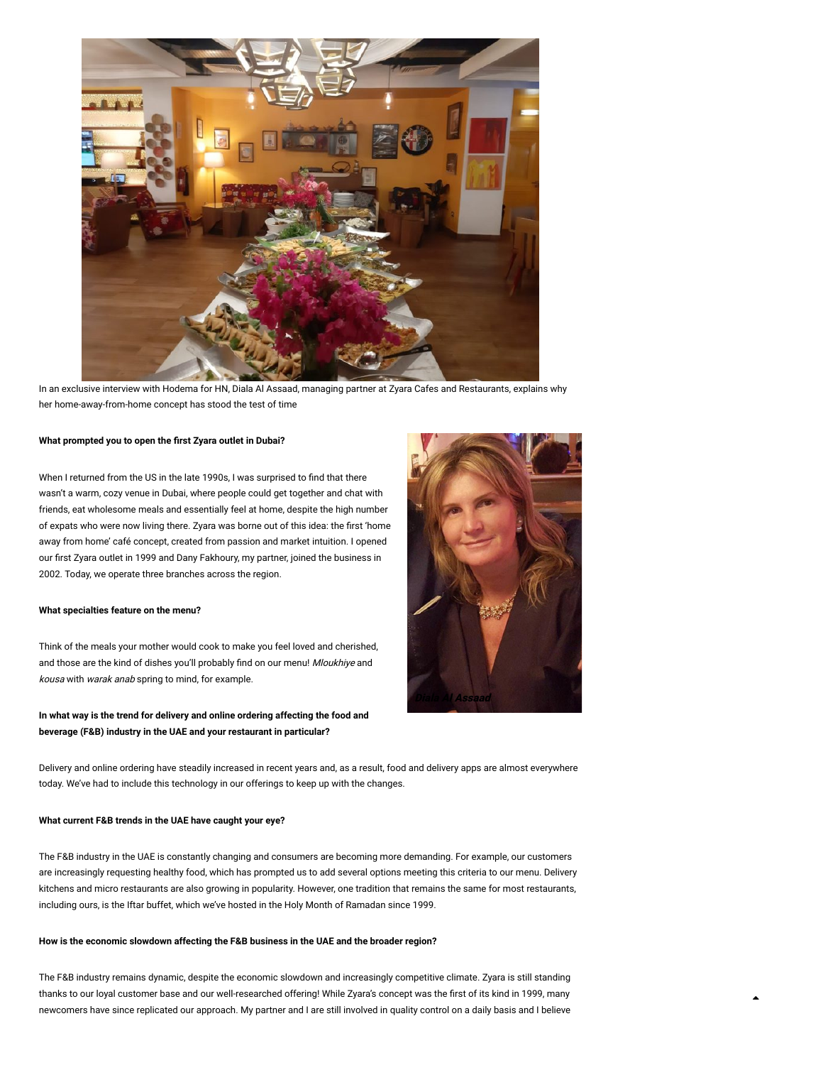

In an exclusive interview with Hodema for HN, Diala Al Assaad, managing partner at Zyara Cafes and Restaurants, explains why her home-away-from-home concept has stood the test of time

#### What prompted you to open the first Zyara outlet in Dubai?

When I returned from the US in the late 1990s, I was surprised to find that there wasn't a warm, cozy venue in Dubai, where people could get together and chat with friends, eat wholesome meals and essentially feel at home, despite the high number of expats who were now living there. Zyara was borne out of this idea: the first 'home away from home' café concept, created from passion and market intuition. I opened our first Zyara outlet in 1999 and Dany Fakhoury, my partner, joined the business in 2002. Today, we operate three branches across the region.

#### **What specialties feature on the menu?**

Think of the meals your mother would cook to make you feel loved and cherished, and those are the kind of dishes you'll probably find on our menu! Mloukhiye and kousa with warak anab spring to mind, for example.

## **In what way is the trend for delivery and online ordering affecting the food and beverage (F&B) industry in the UAE and your restaurant in particular?**



▲

Delivery and online ordering have steadily increased in recent years and, as a result, food and delivery apps are almost everywhere today. We've had to include this technology in our offerings to keep up with the changes.

#### **What current F&B trends in the UAE have caught your eye?**

The F&B industry in the UAE is constantly changing and consumers are becoming more demanding. For example, our customers are increasingly requesting healthy food, which has prompted us to add several options meeting this criteria to our menu. Delivery kitchens and micro restaurants are also growing in popularity. However, one tradition that remains the same for most restaurants, including ours, is the Iftar buffet, which we've hosted in the Holy Month of Ramadan since 1999.

#### **How is the economic slowdown affecting the F&B business in the UAE and the broader region?**

The F&B industry remains dynamic, despite the economic slowdown and increasingly competitive climate. Zyara is still standing thanks to our loyal customer base and our well-researched offering! While Zyara's concept was the first of its kind in 1999, many newcomers have since replicated our approach. My partner and I are still involved in quality control on a daily basis and I believe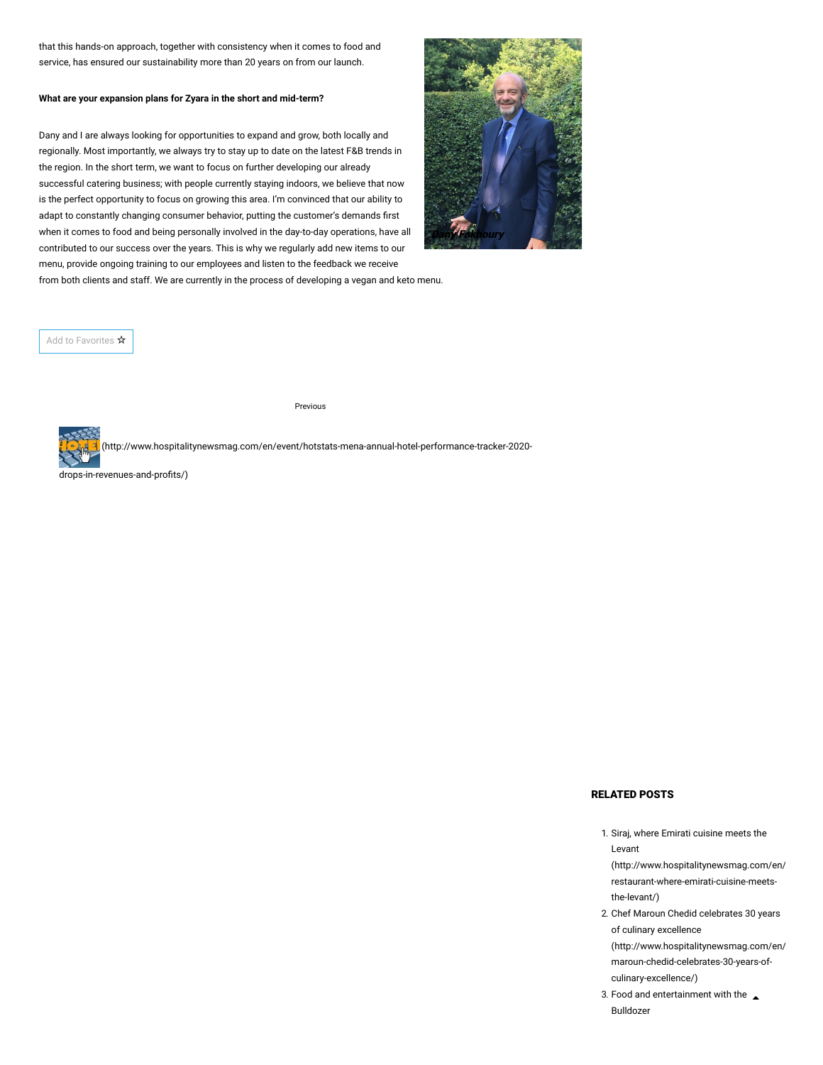that this hands-on approach, together with consistency when it comes to food and service, has ensured our sustainability more than 20 years on from our launch.

#### **What are your expansion plans for Zyara in the short and mid-term?**

Dany and I are always looking for opportunities to expand and grow, both locally and regionally. Most importantly, we always try to stay up to date on the latest F&B trends in the region. In the short term, we want to focus on further developing our already successful catering business; with people currently staying indoors, we believe that now is the perfect opportunity to focus on growing this area. I'm convinced that our ability to adapt to constantly changing consumer behavior, putting the customer's demands first when it comes to food and being personally involved in the day-to-day operations, have all contributed to our success over the years. This is why we regularly add new items to our menu, provide ongoing training to our employees and listen to the feedback we receive



from both clients and staff. We are currently in the process of developing a vegan and keto menu.

Add to Favorites ☆

Previous

 [\(http://www.hospitalitynewsmag.com/en/event/hotstats-mena-annual-hotel-performance-tracker-2020-](http://www.hospitalitynewsmag.com/en/event/hotstats-mena-annual-hotel-performance-tracker-2020-drops-in-revenues-and-profits/)

drops-in-revenues-and-profits/)

### RELATED POSTS

1. Siraj, where Emirati cuisine meets the Levant

[\(http://www.hospitalitynewsmag.com/en/](http://www.hospitalitynewsmag.com/en/event/siraj-restaurant-where-emirati-cuisine-meets-the-levant/) restaurant-where-emirati-cuisine-meetsthe-levant/)

- 2. Chef Maroun Chedid celebrates 30 years of culinary excellence [\(http://www.hospitalitynewsmag.com/en/](http://www.hospitalitynewsmag.com/en/event/chef-maroun-chedid-celebrates-30-years-of-culinary-excellence/) maroun-chedid-celebrates-30-years-ofculinary-excellence/)
- 3. [Food and entertainment with the](http://www.hospitalitynewsmag.com/en/event/food-and-entertainment-with-the-bulldozer/)  $\triangle$ Bulldozer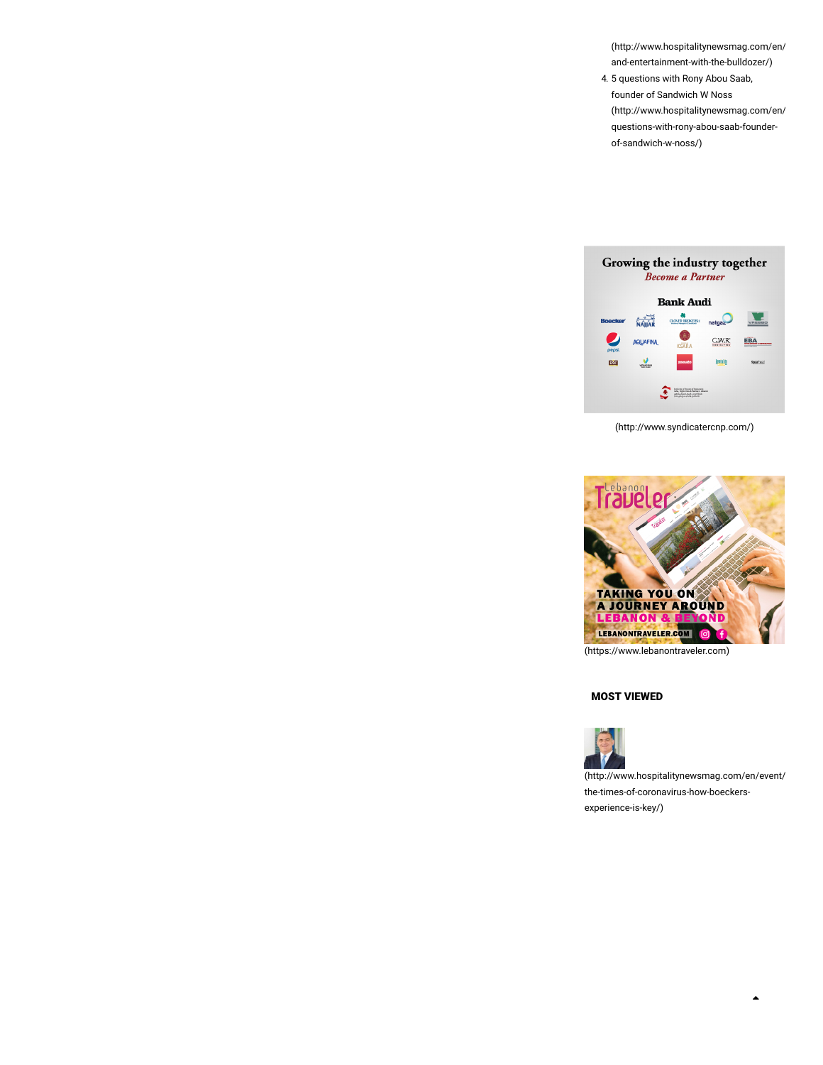[\(http://www.hospitalitynewsmag.com/en/](http://www.hospitalitynewsmag.com/en/event/food-and-entertainment-with-the-bulldozer/) and-entertainment-with-the-bulldozer/)

4. 5 questions with Rony Abou Saab, founder of Sandwich W Noss [\(http://www.hospitalitynewsmag.com/en/](http://www.hospitalitynewsmag.com/en/event/5-questions-with-rony-abou-saab-founder-of-sandwich-w-noss/) questions-with-rony-abou-saab-founderof-sandwich-w-noss/)



[\(http://www.syndicatercnp.com/\)](http://www.syndicatercnp.com/)



[\(https://www.lebanontraveler.com\)](https://www.lebanontraveler.com/)

## MOST VIEWED



[\(http://www.hospitalitynewsmag.com/en/event/](http://www.hospitalitynewsmag.com/en/event/in-the-times-of-coronavirus-how-boeckers-experience-is-key/) the-times-of-coronavirus-how-boeckersexperience-is-key/)

 $\blacktriangle$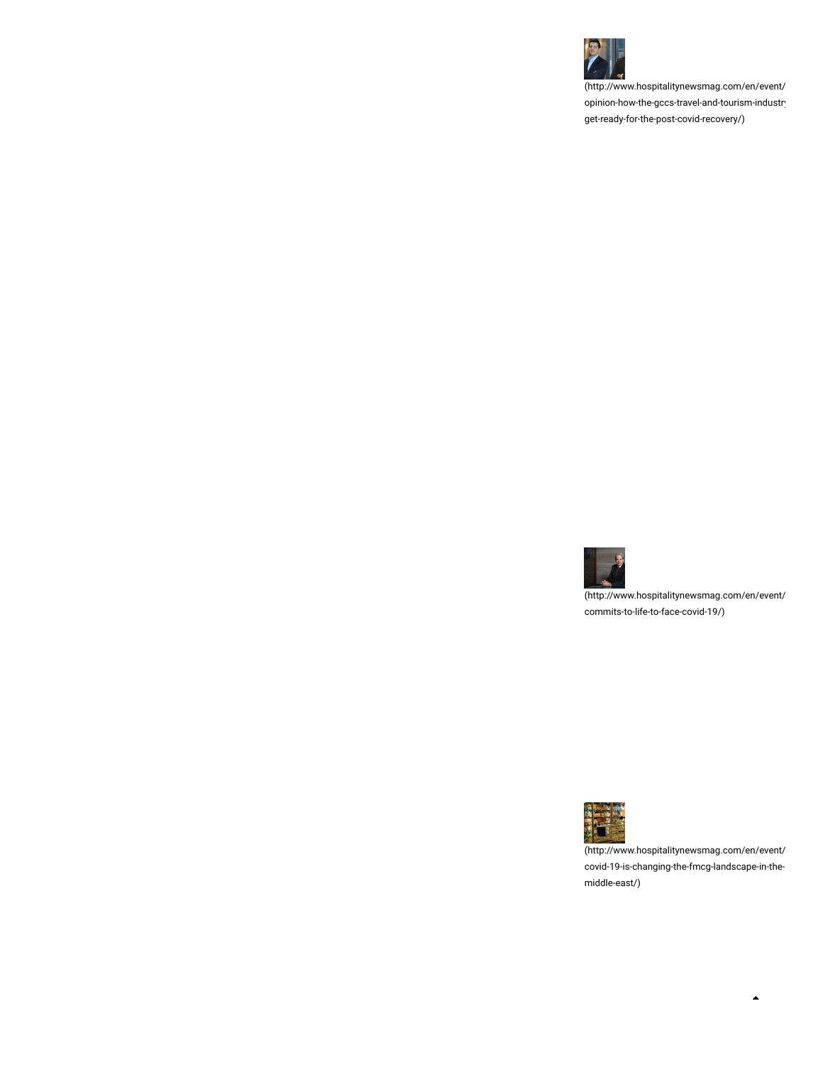

[\(http://www.hospitalitynewsmag.com/en/event/](http://www.hospitalitynewsmag.com/en/event/experts-opinion-how-the-gccs-travel-and-tourism-industry-can-get-ready-for-the-post-covid-recovery/) opinion-how-the-gccs-travel-and-tourism-industry get-ready-for-the-post-covid-recovery/)



[\(http://www.hospitalitynewsmag.com/en/event/](http://www.hospitalitynewsmag.com/en/event/rotana-commits-to-life-to-face-covid-19/) commits-to-life-to-face-covid-19/)



[\(http://www.hospitalitynewsmag.com/en/event/](http://www.hospitalitynewsmag.com/en/event/how-covid-19-is-changing-the-fmcg-landscape-in-the-middle-east/) covid-19-is-changing-the-fmcg-landscape-in-themiddle-east/)

 $\blacktriangle$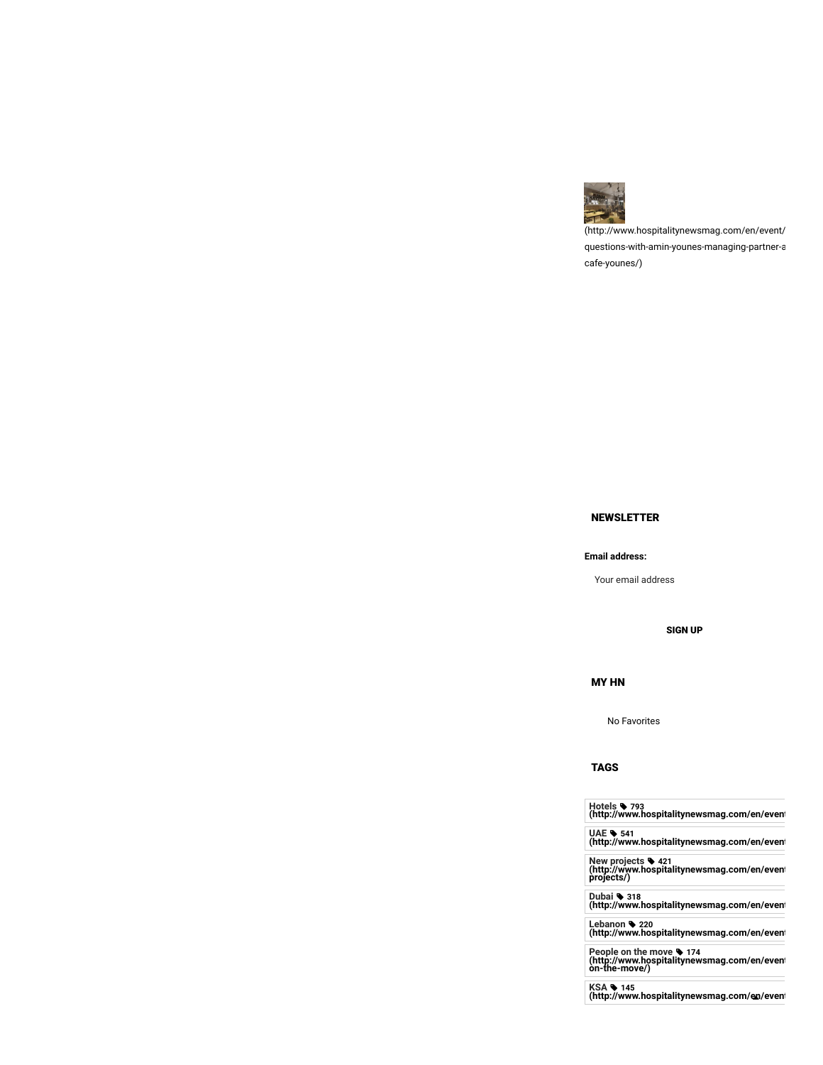

[\(http://www.hospitalitynewsmag.com/en/event/](http://www.hospitalitynewsmag.com/en/event/5-questions-with-amin-younes-managing-partner-at-cafe-younes/) questions-with-amin-younes-managing-partner-a cafe-younes/)

# NEWSLETTER

#### **Email address:**

Your email address

#### SIGN UP

MY HN

No Favorites

TAGS

**Hotels 793 [\(http://www.hospitalitynewsmag.com/en/event](http://www.hospitalitynewsmag.com/en/event/tag/hotels/)**

**UAE 541 [\(http://www.hospitalitynewsmag.com/en/event](http://www.hospitalitynewsmag.com/en/event/tag/uae/)**

**New projects 421 [\(http://www.hospitalitynewsmag.com/en/event](http://www.hospitalitynewsmag.com/en/event/tag/new-projects/) projects/)**

**Dubai 318 [\(http://www.hospitalitynewsmag.com/en/event](http://www.hospitalitynewsmag.com/en/event/tag/dubai/)**

**Lebanon 220 [\(http://www.hospitalitynewsmag.com/en/event](http://www.hospitalitynewsmag.com/en/event/tag/lebanon/)**

**People on the move 174 [\(http://www.hospitalitynewsmag.com/en/event](http://www.hospitalitynewsmag.com/en/event/tag/people-on-the-move/) on-the-move/)**

**KSA 145 [\(http://www.hospitalitynewsmag.com/en/e](http://www.hospitalitynewsmag.com/en/event/tag/ksa/) vent**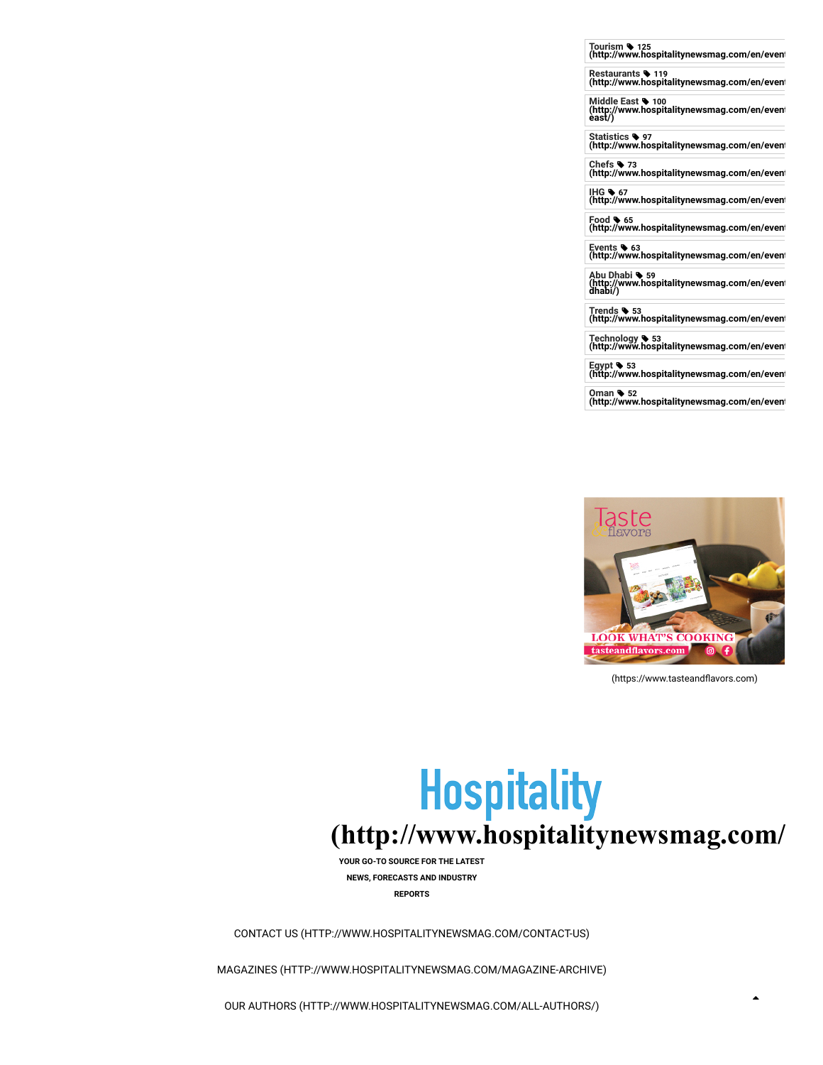**Tourism 125 [\(http://www.hospitalitynewsmag.com/en/event](http://www.hospitalitynewsmag.com/en/event/tag/tourism/)**

**Restaurants 119 [\(http://www.hospitalitynewsmag.com/en/event](http://www.hospitalitynewsmag.com/en/event/tag/restaurants/)**

**Middle East 100 [\(http://www.hospitalitynewsmag.com/en/event](http://www.hospitalitynewsmag.com/en/event/tag/middle-east/) east/)**

**Statistics 97 [\(http://www.hospitalitynewsmag.com/en/event](http://www.hospitalitynewsmag.com/en/event/tag/statistics/)**

**Chefs 73 [\(http://www.hospitalitynewsmag.com/en/event](http://www.hospitalitynewsmag.com/en/event/tag/chefs/)**

**IHG 67 [\(http://www.hospitalitynewsmag.com/en/event](http://www.hospitalitynewsmag.com/en/event/tag/ihg/)**

**Food 65 [\(http://www.hospitalitynewsmag.com/en/event](http://www.hospitalitynewsmag.com/en/event/tag/food/)**

**Events 63 [\(http://www.hospitalitynewsmag.com/en/event](http://www.hospitalitynewsmag.com/en/event/tag/events/)**

**Abu Dhabi 59 [\(http://www.hospitalitynewsmag.com/en/event](http://www.hospitalitynewsmag.com/en/event/tag/abu-dhabi/) dhabi/)**

**Trends 53 [\(http://www.hospitalitynewsmag.com/en/event](http://www.hospitalitynewsmag.com/en/event/tag/trends/)**

**Technology 53 [\(http://www.hospitalitynewsmag.com/en/event](http://www.hospitalitynewsmag.com/en/event/tag/technology/)**

**Egypt 53 [\(http://www.hospitalitynewsmag.com/en/event](http://www.hospitalitynewsmag.com/en/event/tag/egypt/)**

**Oman 52 [\(http://www.hospitalitynewsmag.com/en/event](http://www.hospitalitynewsmag.com/en/event/tag/oman/)**



(https://www.tasteandflavors.com)

▲

# **Hospitality [\(http://www.hospitalitynewsmag.com/](http://www.hospitalitynewsmag.com/)**

**YOUR GO-TO SOURCE FOR THE LATEST NEWS, FORECASTS AND INDUSTRY REPORTS**

[CONTACT US \(HTTP://WWW.HOSPITALITYNEWSMAG.COM/CONTACT-US\)](http://www.hospitalitynewsmag.com/contact-us)

[MAGAZINES \(HTTP://WWW.HOSPITALITYNEWSMAG.COM/MAGAZINE-ARCHIVE\)](http://www.hospitalitynewsmag.com/magazine-archive)

[OUR AUTHORS \(HTTP://WWW.HOSPITALITYNEWSMAG.COM/ALL-AUTHORS/\)](http://www.hospitalitynewsmag.com/all-authors/)